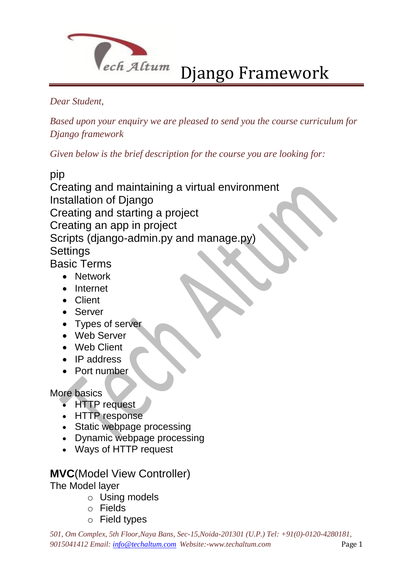

#### *Dear Student,*

*Based upon your enquiry we are pleased to send you the course curriculum for Django framework*

*Given below is the brief description for the course you are looking for:*

pip

Creating and maintaining a virtual environment Installation of Django Creating and starting a project Creating an app in project Scripts (django-admin.py and manage.py) **Settings** Basic Terms

Network

- Internet
- Client
- Server
- Types of server
- Web Server
- Web Client
- IP address
- Port number

More basics

- HTTP request
- HTTP response
- Static webpage processing
- Dynamic webpage processing
- Ways of HTTP request

### **MVC**(Model View Controller)

The Model layer

- o Using models
- o Fields
- o Field types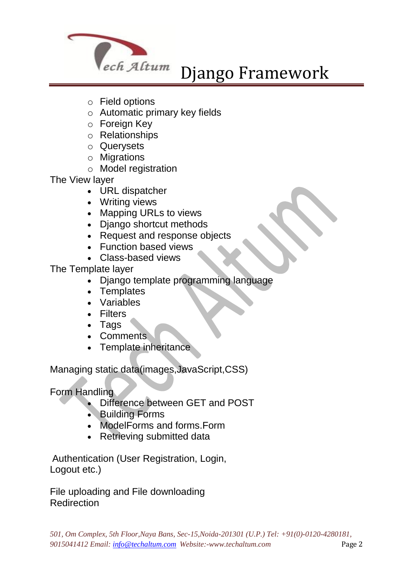

- o Field options
- o Automatic primary key fields
- o Foreign Key
- o Relationships
- o Querysets
- o Migrations
- o Model registration

The View layer

- URL dispatcher
- Writing views
- Mapping URLs to views
- Diango shortcut methods
- Request and response objects
- Function based views
- Class-based views

The Template layer

- Django template programming language
- Templates
- Variables
- Filters
- Tags
- Comments
- Template inheritance

Managing static data(images,JavaScript,CSS)

Form Handling

- Difference between GET and POST
- Building Forms
- ModelForms and forms.Form
- Retrieving submitted data

Authentication (User Registration, Login, Logout etc.)

File uploading and File downloading **Redirection**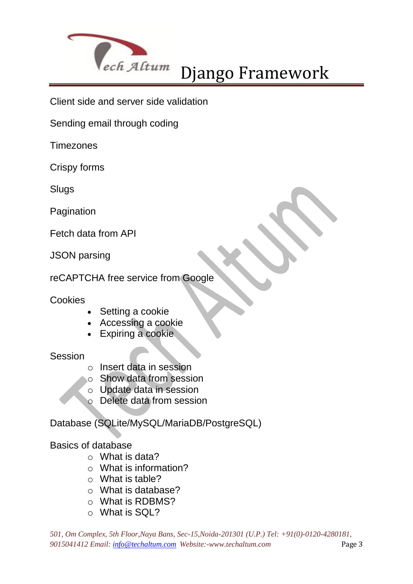

Client side and server side validation

Sending email through coding

**Timezones** 

Crispy forms

**Slugs** 

Pagination

Fetch data from API

JSON parsing

reCAPTCHA free service from Google

#### **Cookies**

- Setting a cookie
- Accessing a cookie
- Expiring a cookie.

#### Session

- o Insert data in session
- o Show data from session
- o Update data in session
- o Delete data from session

Database (SQLite/MySQL/MariaDB/PostgreSQL)

#### Basics of database

- o What is data?
- o What is information?
- o What is table?
- o What is database?
- o What is RDBMS?
- o What is SQL?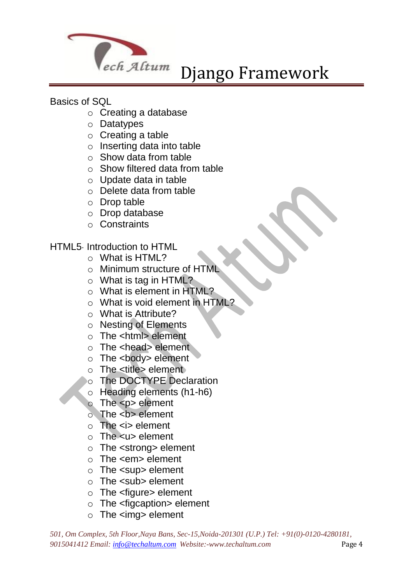

#### Basics of SQL

- o Creating a database
- o Datatypes
- o Creating a table
- o Inserting data into table
- $\circ$  Show data from table
- $\circ$  Show filtered data from table
- o Update data in table
- o Delete data from table
- o Drop table
- o Drop database
- o Constraints

#### HTML5· Introduction to HTML

- o What is HTML?
- o Minimum structure of HTML
- $\circ$  What is tag in HTML?
- o What is element in HTML?
- o What is void element in HTML?
- o What is Attribute?
- o Nesting of Elements
- o The <html> element
- o The <head> element
- $\circ$  The <br/>body> element
- $\circ$  The  $\lt$ title  $\gt$  element
- o The DOCTYPE Declaration
- o Heading elements (h1-h6)
- $\circ$  The  $\leq p$  element
- $\circ$  The  **element**
- $\circ$  The  $\leq$  element
- $\circ$  The  $\lt$ u $\gt$  element
- o The <strong> element
- o The <em> element
- o The <sup> element
- o The <sub> element
- o The <figure> element
- $\circ$  The  $\leq$  figcaption  $\geq$  element
- $\circ$  The  $\leq$ img  $\circ$  element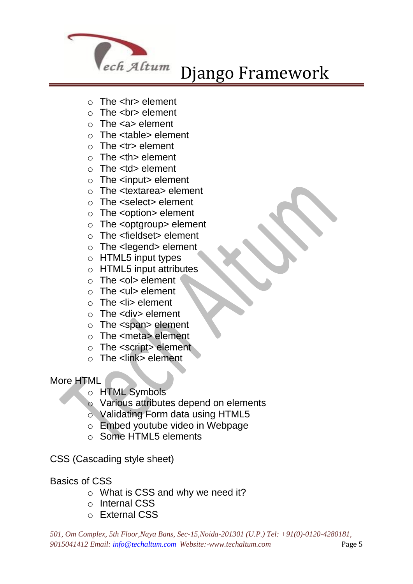

- $\circ$  The  $\leq$ hr> element
- $\circ$  The  $\leq$  br> element
- $\circ$  The  $\leq a$  element
- o The <table> element
- $\circ$  The  $\lt$ tr> element
- $\circ$  The  $\lt$ th  $\gt$  element
- $\circ$  The  $<$ td $>$  element
- o The <input> element
- o The <textarea> element
- o The <select> element
- o The <option> element
- o The <optgroup> element
- $\circ$  The  $\leq$  fieldset  $\geq$  element
- o The <legend> element
- o HTML5 input types
- $\circ$  HTML5 input attributes
- $\circ$  The  $\leq$  ol  $\geq$  element
- o The <ul> element
- $\circ$  The <li> element
- $\circ$  The <div> element
- o The <span> element
- o The <meta> element
- o The <script> element
- $\circ$  The  $\leq$ link  $\geq$  element

#### More HTML

- o HTML Symbols
- o Various attributes depend on elements
- o Validating Form data using HTML5
- o Embed youtube video in Webpage
- o Some HTML5 elements
- CSS (Cascading style sheet)

#### Basics of CSS

- o What is CSS and why we need it?
- o Internal CSS
- o External CSS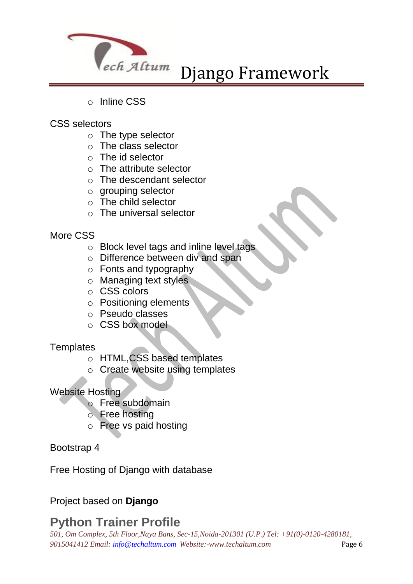

- o Inline CSS
- CSS selectors
	- o The type selector
	- o The class selector
	- $\circ$  The id selector
	- $\circ$  The attribute selector
	- o The descendant selector
	- o grouping selector
	- o The child selector
	- o The universal selector

#### More CSS

- o Block level tags and inline level tags
- o Difference between div and span
- o Fonts and typography
- o Managing text styles
- o CSS colors
- o Positioning elements
- o Pseudo classes
- o CSS box model

#### **Templates**

- o HTML,CSS based templates
- o Create website using templates

#### Website Hosting

- o Free subdomain
- o Free hosting
- o Free vs paid hosting

#### Bootstrap 4

Free Hosting of Django with database

#### Project based on **Django**

### **Python Trainer Profile**